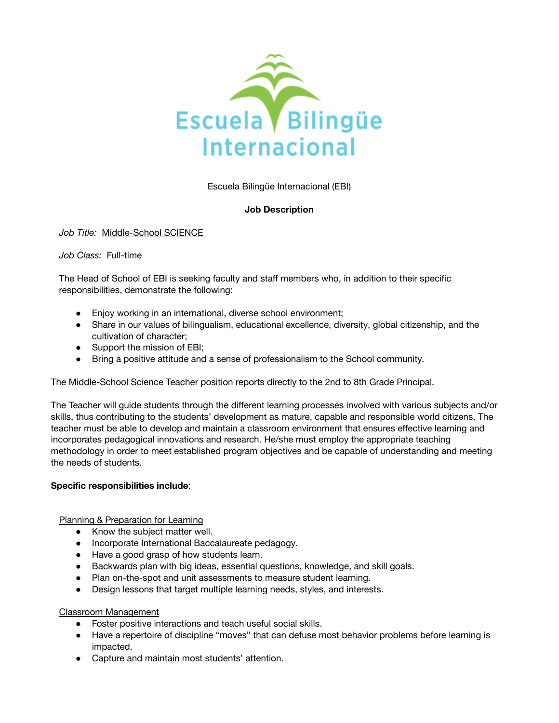

Escuela Bilingüe Internacional (EBI)

### **Job Description**

*Job Title:* Middle-School SCIENCE

*Job Class:* Full-time

The Head of School of EBI is seeking faculty and staff members who, in addition to their specific responsibilities, demonstrate the following:

- Enjoy working in an international, diverse school environment;
- Share in our values of bilingualism, educational excellence, diversity, global citizenship, and the cultivation of character;
- Support the mission of EBI;
- Bring a positive attitude and a sense of professionalism to the School community.

The Middle-School Science Teacher position reports directly to the 2nd to 8th Grade Principal.

The Teacher will guide students through the different learning processes involved with various subjects and/or skills, thus contributing to the students' development as mature, capable and responsible world citizens. The teacher must be able to develop and maintain a classroom environment that ensures effective learning and incorporates pedagogical innovations and research. He/she must employ the appropriate teaching methodology in order to meet established program objectives and be capable of understanding and meeting the needs of students.

### **Specific responsibilities include**:

Planning & Preparation for Learning

- Know the subject matter well.
- Incorporate International Baccalaureate pedagogy.
- Have a good grasp of how students learn.
- Backwards plan with big ideas, essential questions, knowledge, and skill goals.
- Plan on-the-spot and unit assessments to measure student learning.
- Design lessons that target multiple learning needs, styles, and interests.

Classroom Management

- Foster positive interactions and teach useful social skills.
- Have a repertoire of discipline "moves" that can defuse most behavior problems before learning is impacted.
- Capture and maintain most students' attention.